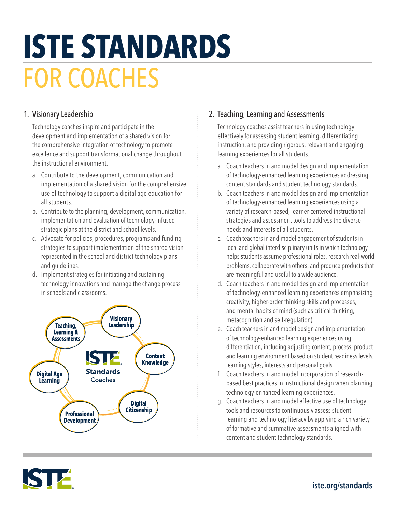# **ISTE STANDARDS**  FOR COACHES

#### 1. Visionary Leadership

Technology coaches inspire and participate in the development and implementation of a shared vision for the comprehensive integration of technology to promote excellence and support transformational change throughout the instructional environment.

- a. Contribute to the development, communication and implementation of a shared vision for the comprehensive use of technology to support a digital age education for all students.
- b. Contribute to the planning, development, communication, implementation and evaluation of technology-infused strategic plans at the district and school levels.
- c. Advocate for policies, procedures, programs and funding strategies to support implementation of the shared vision represented in the school and district technology plans and guidelines.
- d. Implement strategies for initiating and sustaining technology innovations and manage the change process in schools and classrooms.



## 2. Teaching, Learning and Assessments

Technology coaches assist teachers in using technology effectively for assessing student learning, differentiating instruction, and providing rigorous, relevant and engaging learning experiences for all students.

- a. Coach teachers in and model design and implementation of technology-enhanced learning experiences addressing content standards and student technology standards.
- b. Coach teachers in and model design and implementation of technology-enhanced learning experiences using a variety of research-based, learner-centered instructional strategies and assessment tools to address the diverse needs and interests of all students.
- c. Coach teachers in and model engagement of students in local and global interdisciplinary units in which technology helps students assume professional roles, research real-world problems, collaborate with others, and produce products that are meaningful and useful to a wide audience.
- d. Coach teachers in and model design and implementation of technology-enhanced learning experiences emphasizing creativity, higher-order thinking skills and processes, and mental habits of mind (such as critical thinking, metacognition and self-regulation).
- e. Coach teachers in and model design and implementation of technology-enhanced learning experiences using differentiation, including adjusting content, process, product and learning environment based on student readiness levels, learning styles, interests and personal goals.
- f. Coach teachers in and model incorporation of researchbased best practices in instructional design when planning technology-enhanced learning experiences.
- g. Coach teachers in and model effective use of technology tools and resources to continuously assess student learning and technology literacy by applying a rich variety of formative and summative assessments aligned with content and student technology standards.



# iste.org/standards